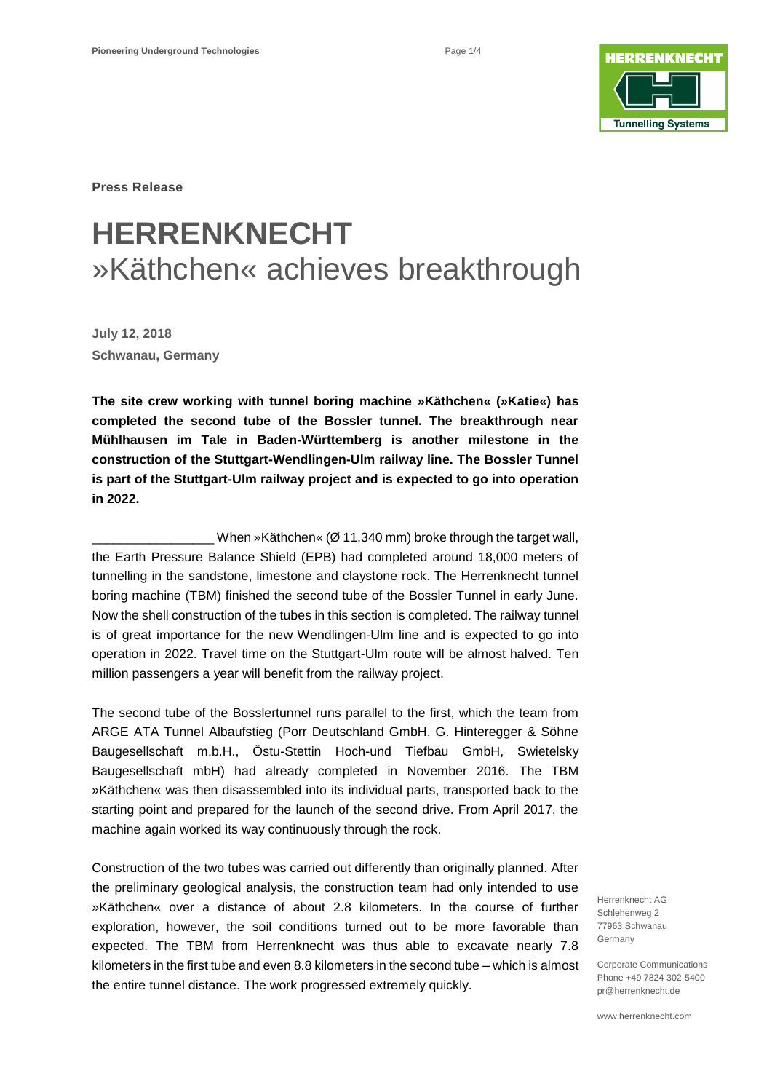

**Press Release**

# **HERRENKNECHT** »Käthchen« achieves breakthrough

**July 12, 2018 Schwanau, Germany** 

**The site crew working with tunnel boring machine »Käthchen« (»Katie«) has completed the second tube of the Bossler tunnel. The breakthrough near Mühlhausen im Tale in Baden-Württemberg is another milestone in the construction of the Stuttgart-Wendlingen-Ulm railway line. The Bossler Tunnel is part of the Stuttgart-Ulm railway project and is expected to go into operation in 2022.**

When »Käthchen« ( $\varnothing$  11,340 mm) broke through the target wall, the Earth Pressure Balance Shield (EPB) had completed around 18,000 meters of tunnelling in the sandstone, limestone and claystone rock. The Herrenknecht tunnel boring machine (TBM) finished the second tube of the Bossler Tunnel in early June. Now the shell construction of the tubes in this section is completed. The railway tunnel is of great importance for the new Wendlingen-Ulm line and is expected to go into operation in 2022. Travel time on the Stuttgart-Ulm route will be almost halved. Ten million passengers a year will benefit from the railway project.

The second tube of the Bosslertunnel runs parallel to the first, which the team from ARGE ATA Tunnel Albaufstieg (Porr Deutschland GmbH, G. Hinteregger & Söhne Baugesellschaft m.b.H., Östu-Stettin Hoch-und Tiefbau GmbH, Swietelsky Baugesellschaft mbH) had already completed in November 2016. The TBM »Käthchen« was then disassembled into its individual parts, transported back to the starting point and prepared for the launch of the second drive. From April 2017, the machine again worked its way continuously through the rock.

Construction of the two tubes was carried out differently than originally planned. After the preliminary geological analysis, the construction team had only intended to use »Käthchen« over a distance of about 2.8 kilometers. In the course of further exploration, however, the soil conditions turned out to be more favorable than expected. The TBM from Herrenknecht was thus able to excavate nearly 7.8 kilometers in the first tube and even 8.8 kilometers in the second tube – which is almost the entire tunnel distance. The work progressed extremely quickly.

Herrenknecht AG Schlehenweg 2 77963 Schwanau Germany

Corporate Communications Phone +49 7824 302-5400 pr@herrenknecht.de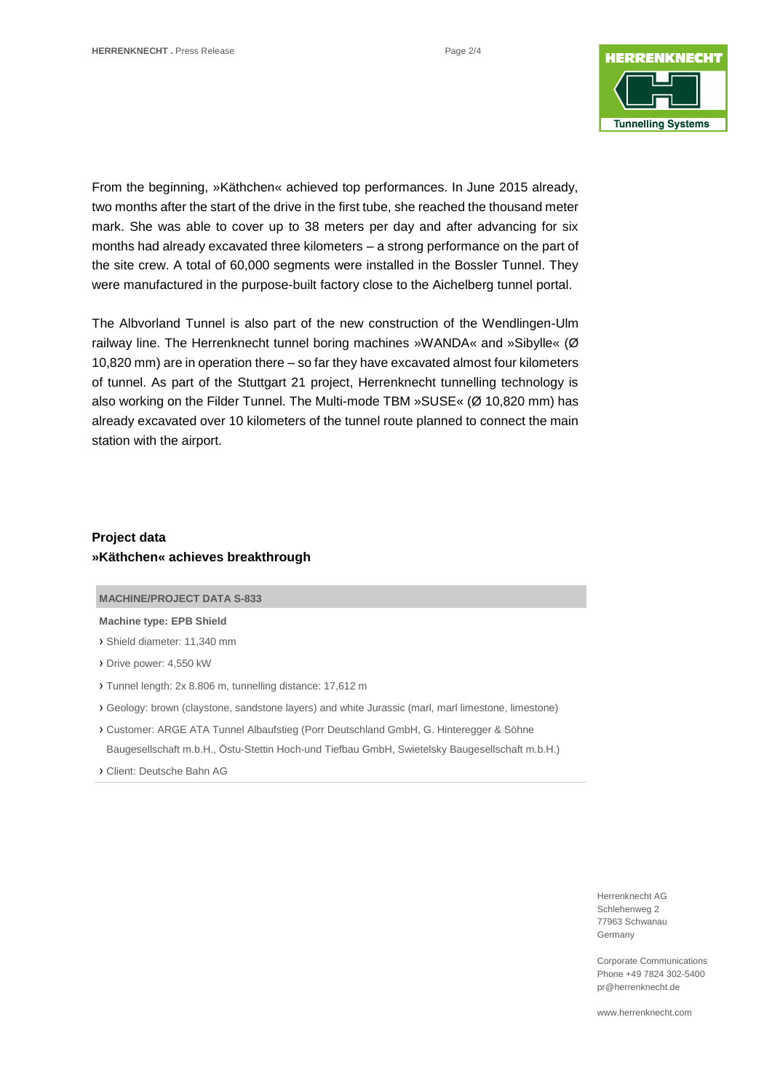

From the beginning, »Käthchen« achieved top performances. In June 2015 already, two months after the start of the drive in the first tube, she reached the thousand meter mark. She was able to cover up to 38 meters per day and after advancing for six months had already excavated three kilometers – a strong performance on the part of the site crew. A total of 60,000 segments were installed in the Bossler Tunnel. They were manufactured in the purpose-built factory close to the Aichelberg tunnel portal.

The Albvorland Tunnel is also part of the new construction of the Wendlingen-Ulm railway line. The Herrenknecht tunnel boring machines »WANDA« and »Sibylle« (Ø 10,820 mm) are in operation there – so far they have excavated almost four kilometers of tunnel. As part of the Stuttgart 21 project, Herrenknecht tunnelling technology is also working on the Filder Tunnel. The Multi-mode TBM »SUSE« (Ø 10,820 mm) has already excavated over 10 kilometers of the tunnel route planned to connect the main station with the airport.

## **Project data »Käthchen« achieves breakthrough**

#### **MACHINE/PROJECT DATA S-833**

#### **Machine type: EPB Shield**

- › Shield diameter: 11,340 mm
- › Drive power: 4,550 kW
- › Tunnel length: 2x 8.806 m, tunnelling distance: 17,612 m
- › Geology: brown (claystone, sandstone layers) and white Jurassic (marl, marl limestone, limestone)
- › Customer: ARGE ATA Tunnel Albaufstieg (Porr Deutschland GmbH, G. Hinteregger & Söhne Baugesellschaft m.b.H., Östu-Stettin Hoch-und Tiefbau GmbH, Swietelsky Baugesellschaft m.b.H.)
- › Client: Deutsche Bahn AG

Herrenknecht AG Schlehenweg 2 77963 Schwanau Germany

Corporate Communications Phone +49 7824 302-5400 pr@herrenknecht.de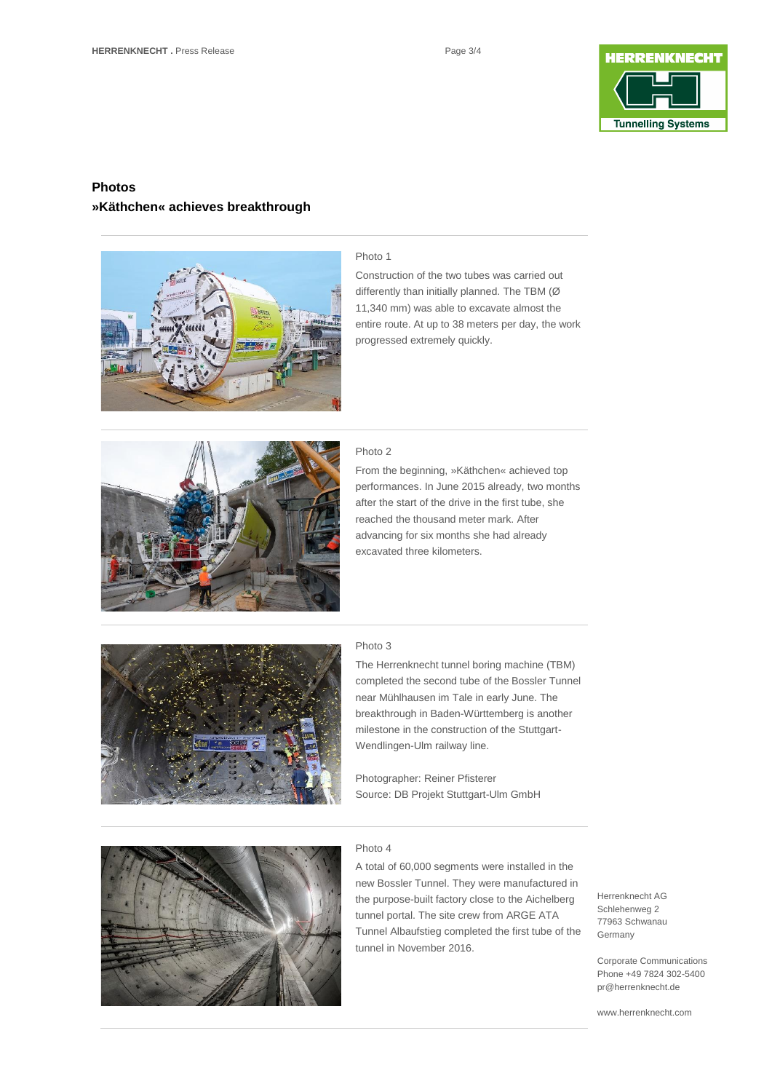

## **Photos »Käthchen« achieves breakthrough**



#### Photo 1

Construction of the two tubes was carried out differently than initially planned. The TBM (Ø 11,340 mm) was able to excavate almost the entire route. At up to 38 meters per day, the work progressed extremely quickly.



#### Photo 2

From the beginning, »Käthchen« achieved top performances. In June 2015 already, two months after the start of the drive in the first tube, she reached the thousand meter mark. After advancing for six months she had already excavated three kilometers.



### Photo 3

The Herrenknecht tunnel boring machine (TBM) completed the second tube of the Bossler Tunnel near Mühlhausen im Tale in early June. The breakthrough in Baden-Württemberg is another milestone in the construction of the Stuttgart-Wendlingen-Ulm railway line.

Photographer: Reiner Pfisterer Source: DB Projekt Stuttgart-Ulm GmbH



#### Photo 4

A total of 60,000 segments were installed in the new Bossler Tunnel. They were manufactured in the purpose-built factory close to the Aichelberg tunnel portal. The site crew from ARGE ATA Tunnel Albaufstieg completed the first tube of the tunnel in November 2016.

Herrenknecht AG Schlehenweg 2 77963 Schwanau Germany

Corporate Communications Phone +49 7824 302-5400 pr@herrenknecht.de